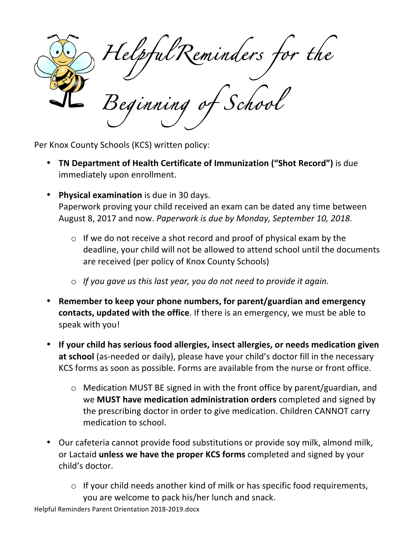*HelpfulReminders for the Beginning of School* 

Per Knox County Schools (KCS) written policy:

- **TN Department of Health Certificate of Immunization ("Shot Record")** is due immediately upon enrollment.
- **Physical examination** is due in 30 days. Paperwork proving your child received an exam can be dated any time between August 8, 2017 and now. *Paperwork is due by Monday, September 10, 2018.* 
	- $\circ$  If we do not receive a shot record and proof of physical exam by the deadline, your child will not be allowed to attend school until the documents are received (per policy of Knox County Schools)
	- o If you gave us this last year, you do not need to provide it again.
- Remember to keep your phone numbers, for parent/guardian and emergency **contacts, updated with the office**. If there is an emergency, we must be able to speak with you!
- If your child has serious food allergies, insect allergies, or needs medication given at school (as-needed or daily), please have your child's doctor fill in the necessary KCS forms as soon as possible. Forms are available from the nurse or front office.
	- $\circ$  Medication MUST BE signed in with the front office by parent/guardian, and we **MUST** have medication administration orders completed and signed by the prescribing doctor in order to give medication. Children CANNOT carry medication to school.
- Our cafeteria cannot provide food substitutions or provide soy milk, almond milk, or Lactaid **unless we have the proper KCS forms** completed and signed by your child's doctor.
	- $\circ$  If your child needs another kind of milk or has specific food requirements, you are welcome to pack his/her lunch and snack.